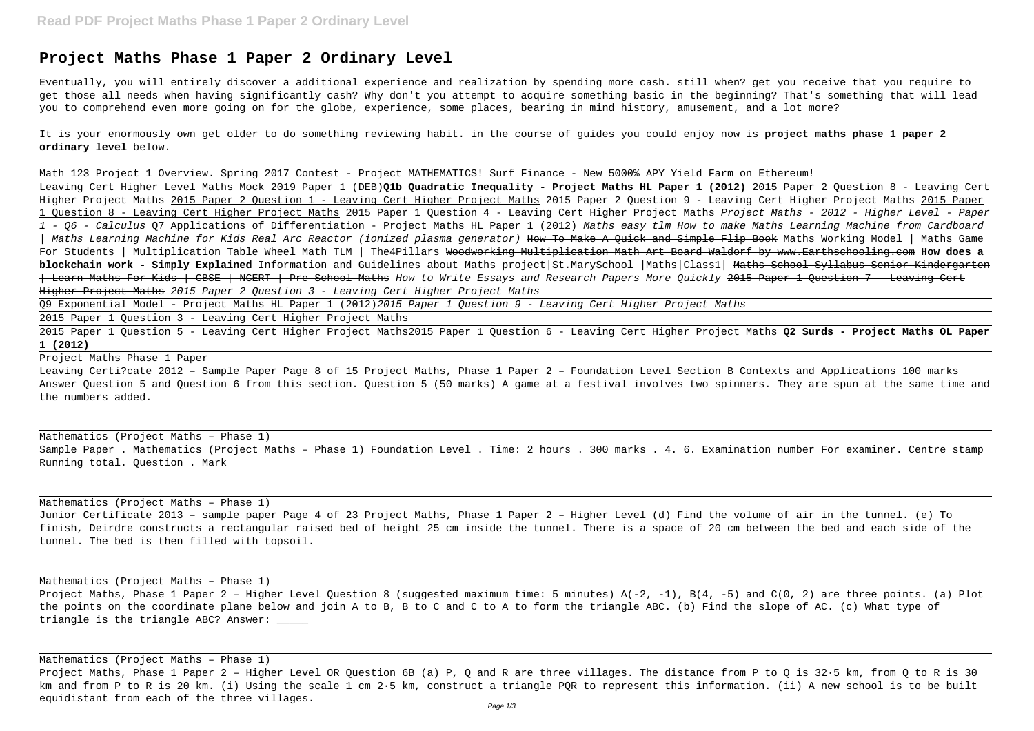## **Project Maths Phase 1 Paper 2 Ordinary Level**

Eventually, you will entirely discover a additional experience and realization by spending more cash. still when? get you receive that you require to get those all needs when having significantly cash? Why don't you attempt to acquire something basic in the beginning? That's something that will lead you to comprehend even more going on for the globe, experience, some places, bearing in mind history, amusement, and a lot more?

It is your enormously own get older to do something reviewing habit. in the course of guides you could enjoy now is **project maths phase 1 paper 2 ordinary level** below.

Math 123 Project 1 Overview. Spring 2017 Contest - Project MATHEMATICS! Surf Finance - New 5000% APY Yield Farm on Ethereum! Leaving Cert Higher Level Maths Mock 2019 Paper 1 (DEB)**Q1b Quadratic Inequality - Project Maths HL Paper 1 (2012)** 2015 Paper 2 Question 8 - Leaving Cert Higher Project Maths 2015 Paper 2 Ouestion 1 - Leaving Cert Higher Project Maths 2015 Paper 2 Question 9 - Leaving Cert Higher Project Maths 2015 Paper 1 Ouestion 8 - Leaving Cert Higher Project Maths 2015 Paper 1 Question 4 - Leaving Cert Higher Project Maths Project Maths - 2012 - Higher Level - Paper 1 - Q6 - Calculus <del>07 Applications of Differentiation - Project Maths HL Paper 1 (2012)</del> Maths easy tlm How to make Maths Learning Machine from Cardboard | Maths Learning Machine for Kids Real Arc Reactor (ionized plasma generator) How To Make A Quick and Simple Flip Book Maths Working Model | Maths Game For Students | Multiplication Table Wheel Math TLM | The4Pillars Woodworking Multiplication Math Art Board Waldorf by www.Earthschooling.com **How does a blockchain work - Simply Explained** Information and Guidelines about Maths project|St.MarySchool |Maths|Class1| Maths School Syllabus Senior Kindergarten | Learn Maths For Kids | CBSE | NCERT | Pre School Maths How to Write Essays and Research Papers More Quickly 2015 Paper 1 Question 7 - Leaving Cert Higher Project Maths 2015 Paper 2 Question 3 - Leaving Cert Higher Project Maths

Project Maths, Phase 1 Paper 2 – Higher Level Question 8 (suggested maximum time: 5 minutes) A(-2, -1), B(4, -5) and C(0, 2) are three points. (a) Plot the points on the coordinate plane below and join A to B, B to C and C to A to form the triangle ABC. (b) Find the slope of AC. (c) What type of triangle is the triangle ABC? Answer: \_\_\_\_\_

Q9 Exponential Model - Project Maths HL Paper 1 (2012)2015 Paper 1 Question 9 - Leaving Cert Higher Project Maths

2015 Paper 1 Question 3 - Leaving Cert Higher Project Maths

2015 Paper 1 Question 5 - Leaving Cert Higher Project Maths2015 Paper 1 Question 6 - Leaving Cert Higher Project Maths **Q2 Surds - Project Maths OL Paper 1 (2012)**

Project Maths Phase 1 Paper

Leaving Certi?cate 2012 – Sample Paper Page 8 of 15 Project Maths, Phase 1 Paper 2 – Foundation Level Section B Contexts and Applications 100 marks Answer Question 5 and Question 6 from this section. Question 5 (50 marks) A game at a festival involves two spinners. They are spun at the same time and the numbers added.

Mathematics (Project Maths – Phase 1) Sample Paper . Mathematics (Project Maths – Phase 1) Foundation Level . Time: 2 hours . 300 marks . 4. 6. Examination number For examiner. Centre stamp Running total. Question . Mark

Mathematics (Project Maths – Phase 1)

Junior Certificate 2013 – sample paper Page 4 of 23 Project Maths, Phase 1 Paper 2 – Higher Level (d) Find the volume of air in the tunnel. (e) To finish, Deirdre constructs a rectangular raised bed of height 25 cm inside the tunnel. There is a space of 20 cm between the bed and each side of the tunnel. The bed is then filled with topsoil.

Mathematics (Project Maths – Phase 1)

Mathematics (Project Maths – Phase 1)

Project Maths, Phase 1 Paper 2 – Higher Level OR Question 6B (a) P, Q and R are three villages. The distance from P to Q is 32·5 km, from Q to R is 30 km and from P to R is 20 km. (i) Using the scale 1 cm 2·5 km, construct a triangle PQR to represent this information. (ii) A new school is to be built equidistant from each of the three villages.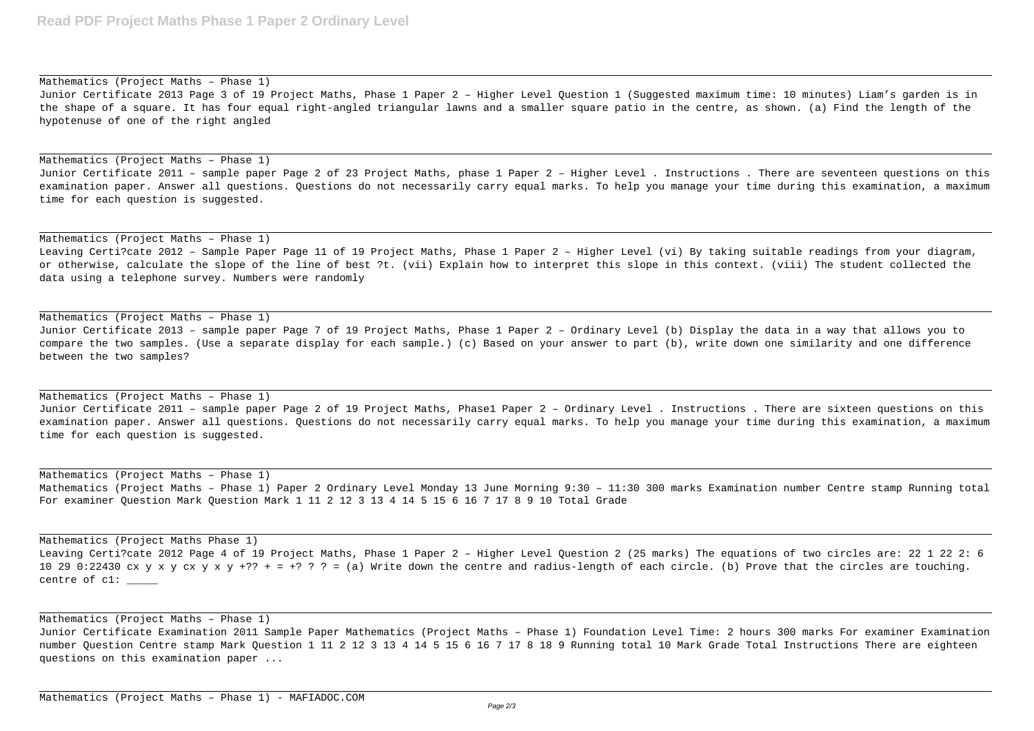Mathematics (Project Maths – Phase 1) Junior Certificate 2013 Page 3 of 19 Project Maths, Phase 1 Paper 2 – Higher Level Question 1 (Suggested maximum time: 10 minutes) Liam's garden is in the shape of a square. It has four equal right-angled triangular lawns and a smaller square patio in the centre, as shown. (a) Find the length of the hypotenuse of one of the right angled

## Mathematics (Project Maths – Phase 1)

Junior Certificate 2011 – sample paper Page 2 of 23 Project Maths, phase 1 Paper 2 – Higher Level . Instructions . There are seventeen questions on this examination paper. Answer all questions. Questions do not necessarily carry equal marks. To help you manage your time during this examination, a maximum time for each question is suggested.

Mathematics (Project Maths – Phase 1)

Leaving Certi?cate 2012 – Sample Paper Page 11 of 19 Project Maths, Phase 1 Paper 2 – Higher Level (vi) By taking suitable readings from your diagram, or otherwise, calculate the slope of the line of best ?t. (vii) Explain how to interpret this slope in this context. (viii) The student collected the data using a telephone survey. Numbers were randomly

Mathematics (Project Maths Phase 1) Leaving Certi?cate 2012 Page 4 of 19 Project Maths, Phase 1 Paper 2 – Higher Level Question 2 (25 marks) The equations of two circles are: 22 1 22 2: 6 10 29 0:22430 cx y x y cx y x y +?? + = +? ? ? = (a) Write down the centre and radius-length of each circle. (b) Prove that the circles are touching. centre of  $cl:$   $\_\_$ 

Mathematics (Project Maths – Phase 1)

Junior Certificate 2013 – sample paper Page 7 of 19 Project Maths, Phase 1 Paper 2 – Ordinary Level (b) Display the data in a way that allows you to compare the two samples. (Use a separate display for each sample.) (c) Based on your answer to part (b), write down one similarity and one difference between the two samples?

## Mathematics (Project Maths – Phase 1)

Junior Certificate 2011 – sample paper Page 2 of 19 Project Maths, Phase1 Paper 2 – Ordinary Level . Instructions . There are sixteen questions on this examination paper. Answer all questions. Questions do not necessarily carry equal marks. To help you manage your time during this examination, a maximum time for each question is suggested.

Mathematics (Project Maths – Phase 1) Mathematics (Project Maths – Phase 1) Paper 2 Ordinary Level Monday 13 June Morning 9:30 – 11:30 300 marks Examination number Centre stamp Running total For examiner Question Mark Question Mark 1 11 2 12 3 13 4 14 5 15 6 16 7 17 8 9 10 Total Grade

Mathematics (Project Maths – Phase 1) Junior Certificate Examination 2011 Sample Paper Mathematics (Project Maths – Phase 1) Foundation Level Time: 2 hours 300 marks For examiner Examination number Question Centre stamp Mark Question 1 11 2 12 3 13 4 14 5 15 6 16 7 17 8 18 9 Running total 10 Mark Grade Total Instructions There are eighteen questions on this examination paper ...